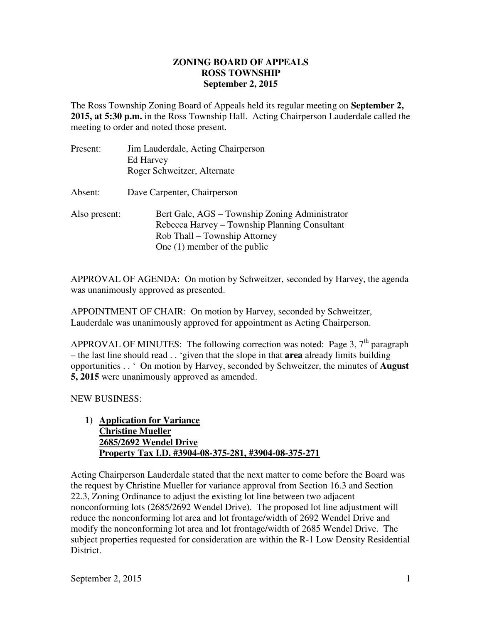## **ZONING BOARD OF APPEALS September 2, 2015 ROSS TOWNSHIP**

 The Ross Township Zoning Board of Appeals held its regular meeting on **September 2, 2015, at 5:30 p.m.** in the Ross Township Hall. Acting Chairperson Lauderdale called the meeting to order and noted those present.

| Present:      | Jim Lauderdale, Acting Chairperson<br>Ed Harvey<br>Roger Schweitzer, Alternate                                                                                     |
|---------------|--------------------------------------------------------------------------------------------------------------------------------------------------------------------|
| Absent:       | Dave Carpenter, Chairperson                                                                                                                                        |
| Also present: | Bert Gale, AGS – Township Zoning Administrator<br>Rebecca Harvey – Township Planning Consultant<br>Rob Thall – Township Attorney<br>One $(1)$ member of the public |

 APPROVAL OF AGENDA: On motion by Schweitzer, seconded by Harvey, the agenda was unanimously approved as presented.

 APPOINTMENT OF CHAIR: On motion by Harvey, seconded by Schweitzer, Lauderdale was unanimously approved for appointment as Acting Chairperson.

APPROVAL OF MINUTES: The following correction was noted: Page 3,  $7<sup>th</sup>$  paragraph – the last line should read . . 'given that the slope in that **area** already limits building opportunities . . ' On motion by Harvey, seconded by Schweitzer, the minutes of **August 5, 2015** were unanimously approved as amended.

NEW BUSINESS:

1) **Application for Variance Christine Mueller 2685/2692 Wendel Drive Property Tax I.D. #3904-08-375-281, #3904-08-375-271** 

 Acting Chairperson Lauderdale stated that the next matter to come before the Board was the request by Christine Mueller for variance approval from Section 16.3 and Section 22.3, Zoning Ordinance to adjust the existing lot line between two adjacent nonconforming lots (2685/2692 Wendel Drive). The proposed lot line adjustment will reduce the nonconforming lot area and lot frontage/width of 2692 Wendel Drive and modify the nonconforming lot area and lot frontage/width of 2685 Wendel Drive. The subject properties requested for consideration are within the R-1 Low Density Residential District.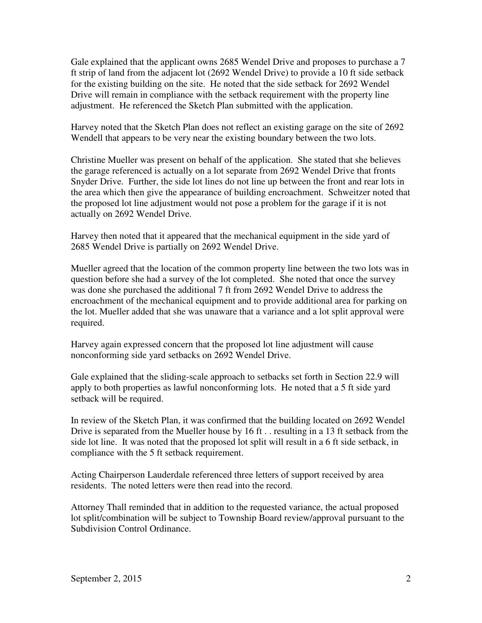Gale explained that the applicant owns 2685 Wendel Drive and proposes to purchase a 7 ft strip of land from the adjacent lot (2692 Wendel Drive) to provide a 10 ft side setback for the existing building on the site. He noted that the side setback for 2692 Wendel Drive will remain in compliance with the setback requirement with the property line adjustment. He referenced the Sketch Plan submitted with the application.

 Harvey noted that the Sketch Plan does not reflect an existing garage on the site of 2692 Wendell that appears to be very near the existing boundary between the two lots.

 Christine Mueller was present on behalf of the application. She stated that she believes the garage referenced is actually on a lot separate from 2692 Wendel Drive that fronts Snyder Drive. Further, the side lot lines do not line up between the front and rear lots in the area which then give the appearance of building encroachment. Schweitzer noted that the proposed lot line adjustment would not pose a problem for the garage if it is not actually on 2692 Wendel Drive.

 Harvey then noted that it appeared that the mechanical equipment in the side yard of 2685 Wendel Drive is partially on 2692 Wendel Drive.

 Mueller agreed that the location of the common property line between the two lots was in question before she had a survey of the lot completed. She noted that once the survey was done she purchased the additional 7 ft from 2692 Wendel Drive to address the encroachment of the mechanical equipment and to provide additional area for parking on the lot. Mueller added that she was unaware that a variance and a lot split approval were required.

 Harvey again expressed concern that the proposed lot line adjustment will cause nonconforming side yard setbacks on 2692 Wendel Drive.

 Gale explained that the sliding-scale approach to setbacks set forth in Section 22.9 will apply to both properties as lawful nonconforming lots. He noted that a 5 ft side yard setback will be required.

 In review of the Sketch Plan, it was confirmed that the building located on 2692 Wendel Drive is separated from the Mueller house by 16 ft . . resulting in a 13 ft setback from the side lot line. It was noted that the proposed lot split will result in a 6 ft side setback, in compliance with the 5 ft setback requirement.

 Acting Chairperson Lauderdale referenced three letters of support received by area residents. The noted letters were then read into the record.

 Attorney Thall reminded that in addition to the requested variance, the actual proposed lot split/combination will be subject to Township Board review/approval pursuant to the Subdivision Control Ordinance.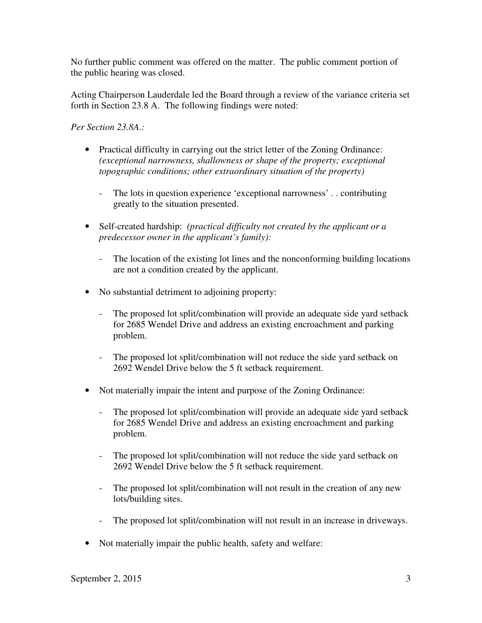No further public comment was offered on the matter. The public comment portion of the public hearing was closed.

 Acting Chairperson Lauderdale led the Board through a review of the variance criteria set forth in Section 23.8 A. The following findings were noted:

 *Per Section 23.8A.:* 

- Practical difficulty in carrying out the strict letter of the Zoning Ordinance:  *(exceptional narrowness, shallowness or shape of the property; exceptional topographic conditions; other extraordinary situation of the property)* 
	- - The lots in question experience 'exceptional narrowness' . . contributing greatly to the situation presented.
- • Self-created hardship: *(practical difficulty not created by the applicant or a predecessor owner in the applicant's family):* 
	- - The location of the existing lot lines and the nonconforming building locations are not a condition created by the applicant.
- • No substantial detriment to adjoining property:
	- - The proposed lot split/combination will provide an adequate side yard setback for 2685 Wendel Drive and address an existing encroachment and parking problem.
	- The proposed lot split/combination will not reduce the side yard setback on 2692 Wendel Drive below the 5 ft setback requirement.
- Not materially impair the intent and purpose of the Zoning Ordinance:
	- - The proposed lot split/combination will provide an adequate side yard setback for 2685 Wendel Drive and address an existing encroachment and parking problem.
	- - The proposed lot split/combination will not reduce the side yard setback on 2692 Wendel Drive below the 5 ft setback requirement.
	- The proposed lot split/combination will not result in the creation of any new lots/building sites.
	- The proposed lot split/combination will not result in an increase in driveways.
- Not materially impair the public health, safety and welfare: